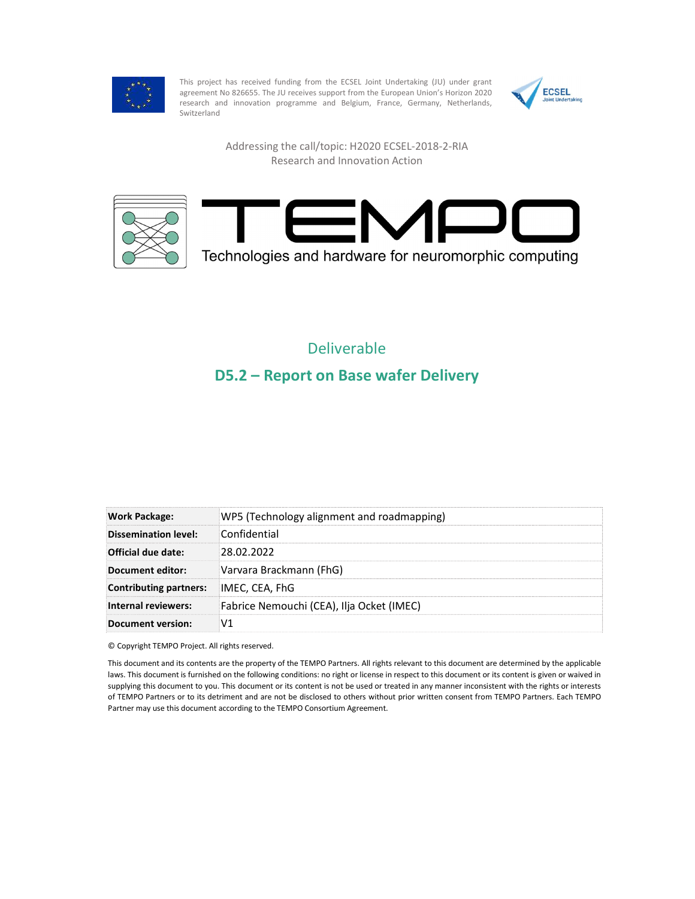

This project has received funding from the ECSEL Joint Undertaking (JU) under grant<br>agreement No 826655. The JU receives support from the European Union's Horizon 2020 agreement No 826655. The JU receives support from the European Union's Horizon 2020 research and innovation programme and Belgium, France, Germany, Netherlands, Switzerland



Addressing the call/topic: H2020 ECSEL-2018-2-RIA Research and Innovation Action





## Deliverable D5.2 – Report on Base wafer Delivery

| <b>Work Package:</b>          | WP5 (Technology alignment and roadmapping) |
|-------------------------------|--------------------------------------------|
| Dissemination level:          | Confidential                               |
| Official due date:            | 28.02.2022                                 |
| Document editor:              | Varvara Brackmann (FhG)                    |
| <b>Contributing partners:</b> | IMEC, CEA, FhG                             |
| Internal reviewers:           | Fabrice Nemouchi (CEA), Ilja Ocket (IMEC)  |
| <b>Document version:</b>      | V1                                         |

© Copyright TEMPO Project. All rights reserved.

This document and its contents are the property of the TEMPO Partners. All rights relevant to this document are determined by the applicable laws. This document is furnished on the following conditions: no right or license in respect to this document or its content is given or waived in supplying this document to you. This document or its content is not be used or treated in any manner inconsistent with the rights or interests of TEMPO Partners or to its detriment and are not be disclosed to others without prior written consent from TEMPO Partners. Each TEMPO Partner may use this document according to the TEMPO Consortium Agreement.